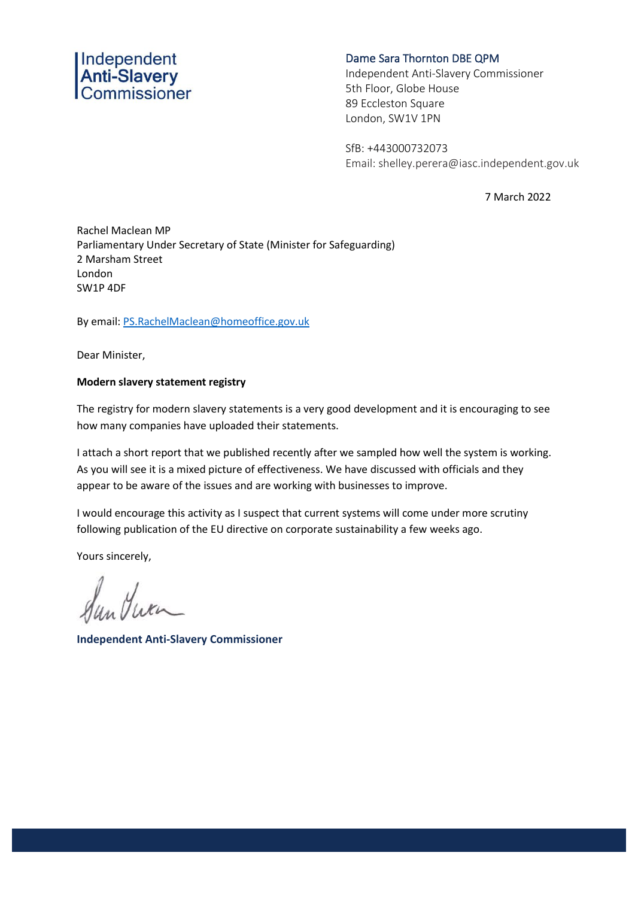## Independent<br>**Anti-Slavery**<br>Commissioner

## Dame Sara Thornton DBE QPM

Independent Anti-Slavery Commissioner 5th Floor, Globe House 89 Eccleston Square London, SW1V 1PN

SfB: +443000732073 Email: shelley.perera@iasc.independent.gov.uk

7 March 2022

Rachel Maclean MP Parliamentary Under Secretary of State (Minister for Safeguarding) 2 Marsham Street London SW1P 4DF

By email: [PS.RachelMaclean@homeoffice.gov.uk](mailto:PS.RachelMaclean@homeoffice.gov.uk)

Dear Minister,

## **Modern slavery statement registry**

The registry for modern slavery statements is a very good development and it is encouraging to see how many companies have uploaded their statements.

I attach a short report that we published recently after we sampled how well the system is working. As you will see it is a mixed picture of effectiveness. We have discussed with officials and they appear to be aware of the issues and are working with businesses to improve.

I would encourage this activity as I suspect that current systems will come under more scrutiny following publication of the EU directive on corporate sustainability a few weeks ago.

Yours sincerely,

Sun Jura

**Independent Anti-Slavery Commissioner**